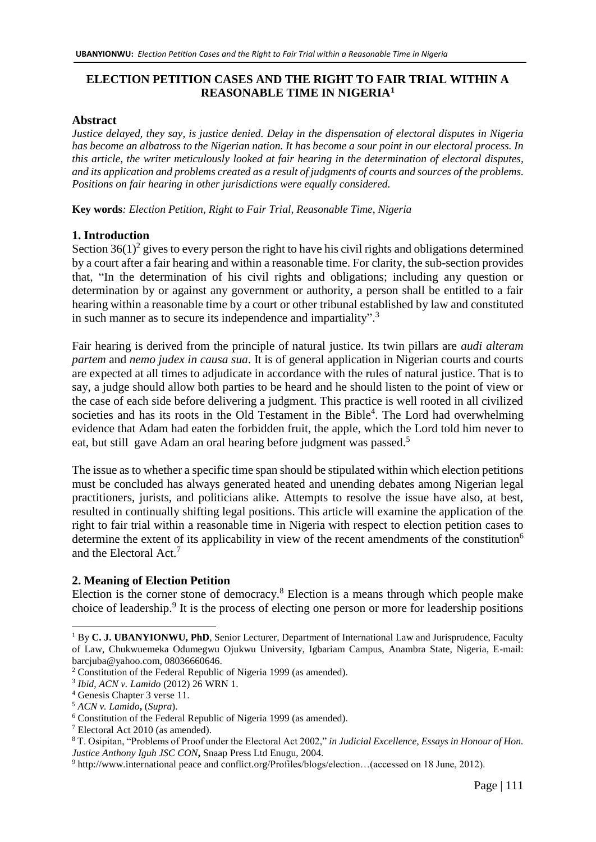# **ELECTION PETITION CASES AND THE RIGHT TO FAIR TRIAL WITHIN A REASONABLE TIME IN NIGERIA<sup>1</sup>**

### **Abstract**

*Justice delayed, they say, is justice denied. Delay in the dispensation of electoral disputes in Nigeria has become an albatross to the Nigerian nation. It has become a sour point in our electoral process. In this article, the writer meticulously looked at fair hearing in the determination of electoral disputes, and its application and problems created as a result of judgments of courts and sources of the problems. Positions on fair hearing in other jurisdictions were equally considered.* 

**Key words***: Election Petition, Right to Fair Trial, Reasonable Time, Nigeria* 

# **1. Introduction**

Section  $36(1)^2$  gives to every person the right to have his civil rights and obligations determined by a court after a fair hearing and within a reasonable time. For clarity, the sub-section provides that, "In the determination of his civil rights and obligations; including any question or determination by or against any government or authority, a person shall be entitled to a fair hearing within a reasonable time by a court or other tribunal established by law and constituted in such manner as to secure its independence and impartiality".<sup>3</sup>

Fair hearing is derived from the principle of natural justice. Its twin pillars are *audi alteram partem* and *nemo judex in causa sua*. It is of general application in Nigerian courts and courts are expected at all times to adjudicate in accordance with the rules of natural justice. That is to say, a judge should allow both parties to be heard and he should listen to the point of view or the case of each side before delivering a judgment. This practice is well rooted in all civilized societies and has its roots in the Old Testament in the Bible<sup>4</sup>. The Lord had overwhelming evidence that Adam had eaten the forbidden fruit, the apple, which the Lord told him never to eat, but still gave Adam an oral hearing before judgment was passed.<sup>5</sup>

The issue as to whether a specific time span should be stipulated within which election petitions must be concluded has always generated heated and unending debates among Nigerian legal practitioners, jurists, and politicians alike. Attempts to resolve the issue have also, at best, resulted in continually shifting legal positions. This article will examine the application of the right to fair trial within a reasonable time in Nigeria with respect to election petition cases to determine the extent of its applicability in view of the recent amendments of the constitution<sup>6</sup> and the Electoral Act.<sup>7</sup>

# **2. Meaning of Election Petition**

Election is the corner stone of democracy.<sup>8</sup> Election is a means through which people make choice of leadership.<sup>9</sup> It is the process of electing one person or more for leadership positions

<sup>1</sup> By **C. J. UBANYIONWU, PhD**, Senior Lecturer, Department of International Law and Jurisprudence, Faculty of Law, Chukwuemeka Odumegwu Ojukwu University, Igbariam Campus, Anambra State, Nigeria, E-mail: [barcjuba@yahoo.com,](mailto:barcjuba@yahoo.com) 08036660646.

<sup>2</sup> Constitution of the Federal Republic of Nigeria 1999 (as amended).

<sup>3</sup> *Ibid*, *ACN v. Lamido* (2012) 26 WRN 1.

<sup>4</sup> Genesis Chapter 3 verse 11.

<sup>5</sup> *ACN v. Lamido***,** (*Supra*).

<sup>6</sup> Constitution of the Federal Republic of Nigeria 1999 (as amended).

<sup>7</sup> Electoral Act 2010 (as amended).

<sup>8</sup> T. Osipitan, "Problems of Proof under the Electoral Act 2002," *in Judicial Excellence, Essays in Honour of Hon. Justice Anthony Iguh JSC CON***,** Snaap Press Ltd Enugu, 2004.

<sup>9</sup> [http://www.international](http://www.international/) peace and conflict.org/Profiles/blogs/election…(accessed on 18 June, 2012).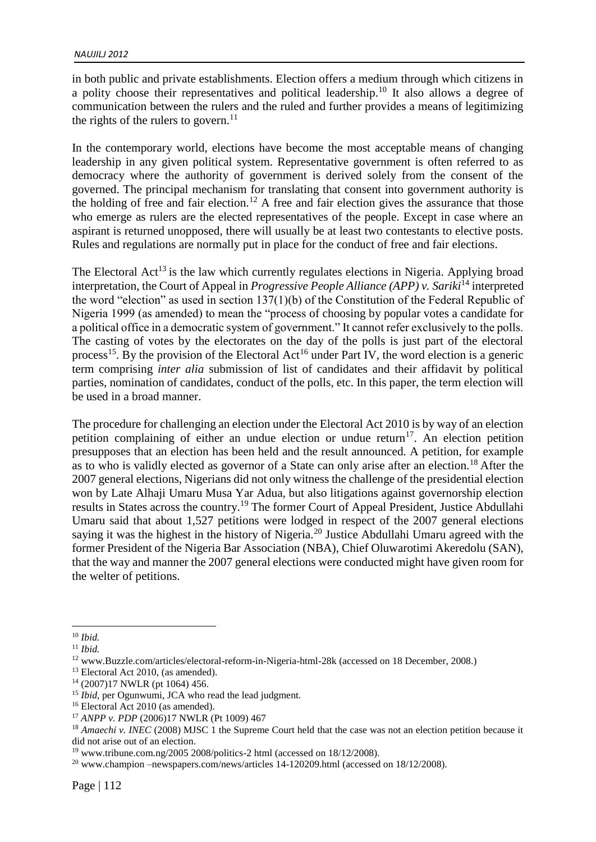in both public and private establishments. Election offers a medium through which citizens in a polity choose their representatives and political leadership.<sup>10</sup> It also allows a degree of communication between the rulers and the ruled and further provides a means of legitimizing the rights of the rulers to govern. $^{11}$ 

In the contemporary world, elections have become the most acceptable means of changing leadership in any given political system. Representative government is often referred to as democracy where the authority of government is derived solely from the consent of the governed. The principal mechanism for translating that consent into government authority is the holding of free and fair election.<sup>12</sup> A free and fair election gives the assurance that those who emerge as rulers are the elected representatives of the people. Except in case where an aspirant is returned unopposed, there will usually be at least two contestants to elective posts. Rules and regulations are normally put in place for the conduct of free and fair elections.

The Electoral  $Act^{13}$  is the law which currently regulates elections in Nigeria. Applying broad interpretation, the Court of Appeal in *Progressive People Alliance (APP) v. Sariki*<sup>14</sup> interpreted the word "election" as used in section 137(1)(b) of the Constitution of the Federal Republic of Nigeria 1999 (as amended) to mean the "process of choosing by popular votes a candidate for a political office in a democratic system of government." It cannot refer exclusively to the polls. The casting of votes by the electorates on the day of the polls is just part of the electoral process<sup>15</sup>. By the provision of the Electoral Act<sup>16</sup> under Part IV, the word election is a generic term comprising *inter alia* submission of list of candidates and their affidavit by political parties, nomination of candidates, conduct of the polls, etc. In this paper, the term election will be used in a broad manner.

The procedure for challenging an election under the Electoral Act 2010 is by way of an election petition complaining of either an undue election or undue return<sup>17</sup>. An election petition presupposes that an election has been held and the result announced. A petition, for example as to who is validly elected as governor of a State can only arise after an election.<sup>18</sup> After the 2007 general elections, Nigerians did not only witness the challenge of the presidential election won by Late Alhaji Umaru Musa Yar Adua, but also litigations against governorship election results in States across the country.<sup>19</sup> The former Court of Appeal President, Justice Abdullahi Umaru said that about 1,527 petitions were lodged in respect of the 2007 general elections saying it was the highest in the history of Nigeria.<sup>20</sup> Justice Abdullahi Umaru agreed with the former President of the Nigeria Bar Association (NBA), Chief Oluwarotimi Akeredolu (SAN), that the way and manner the 2007 general elections were conducted might have given room for the welter of petitions.

<sup>13</sup> Electoral Act 2010, (as amended).

<sup>1</sup> <sup>10</sup> *Ibid.*

<sup>11</sup> *Ibid.*

<sup>12</sup> [www.Buzzle.com/articles/electoral-reform-in-Nigeria-html-28k](http://www.buzzle.com/articles/electoral-reform-in-Nigeria-html-28k) (accessed on 18 December, 2008.)

<sup>14</sup> (2007)17 NWLR (pt 1064) 456.

<sup>&</sup>lt;sup>15</sup> *Ibid*, per Ogunwumi, JCA who read the lead judgment.

<sup>&</sup>lt;sup>16</sup> Electoral Act 2010 (as amended).

<sup>17</sup> *ANPP v. PDP* (2006)17 NWLR (Pt 1009) 467

<sup>&</sup>lt;sup>18</sup> *Amaechi v. INEC* (2008) MJSC 1 the Supreme Court held that the case was not an election petition because it did not arise out of an election.

<sup>19</sup> [www.tribune.com.ng/2005 2008/politics-2](http://www.tribune.com.ng/2005%202008/politics-2) html (accessed on 18/12/2008).

<sup>20</sup> www.champion –newspapers.com/news/articles 14-120209.html (accessed on 18/12/2008).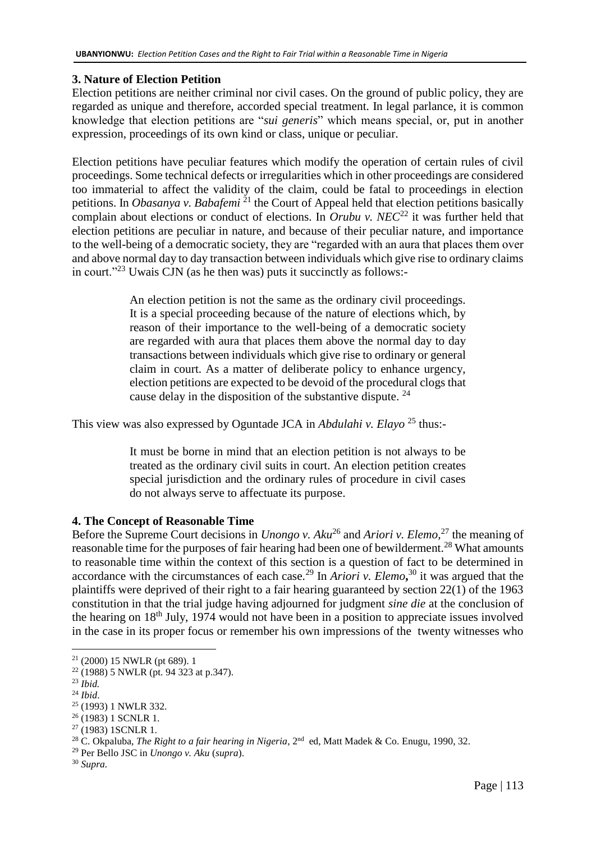# **3. Nature of Election Petition**

Election petitions are neither criminal nor civil cases. On the ground of public policy, they are regarded as unique and therefore, accorded special treatment. In legal parlance, it is common knowledge that election petitions are "*sui generis*" which means special, or, put in another expression, proceedings of its own kind or class, unique or peculiar.

Election petitions have peculiar features which modify the operation of certain rules of civil proceedings. Some technical defects or irregularities which in other proceedings are considered too immaterial to affect the validity of the claim, could be fatal to proceedings in election petitions. In *Obasanya v. Babafemi*<sup>21</sup> the Court of Appeal held that election petitions basically complain about elections or conduct of elections. In *Orubu v. NEC*<sup>22</sup> it was further held that election petitions are peculiar in nature, and because of their peculiar nature, and importance to the well-being of a democratic society, they are "regarded with an aura that places them over and above normal day to day transaction between individuals which give rise to ordinary claims in court."<sup>23</sup> Uwais CJN (as he then was) puts it succinctly as follows:-

> An election petition is not the same as the ordinary civil proceedings. It is a special proceeding because of the nature of elections which, by reason of their importance to the well-being of a democratic society are regarded with aura that places them above the normal day to day transactions between individuals which give rise to ordinary or general claim in court. As a matter of deliberate policy to enhance urgency, election petitions are expected to be devoid of the procedural clogs that cause delay in the disposition of the substantive dispute.  $24$

This view was also expressed by Oguntade JCA in *Abdulahi v. Elayo* <sup>25</sup> thus:-

It must be borne in mind that an election petition is not always to be treated as the ordinary civil suits in court. An election petition creates special jurisdiction and the ordinary rules of procedure in civil cases do not always serve to affectuate its purpose.

# **4. The Concept of Reasonable Time**

Before the Supreme Court decisions in *Unongo v. Aku*<sup>26</sup> and *Ariori v. Elemo*,<sup>27</sup> the meaning of reasonable time for the purposes of fair hearing had been one of bewilderment.<sup>28</sup> What amounts to reasonable time within the context of this section is a question of fact to be determined in accordance with the circumstances of each case.<sup>29</sup> In *Ariori v. Elemo*,<sup>30</sup> it was argued that the plaintiffs were deprived of their right to a fair hearing guaranteed by section 22(1) of the 1963 constitution in that the trial judge having adjourned for judgment *sine die* at the conclusion of the hearing on  $18<sup>th</sup>$  July, 1974 would not have been in a position to appreciate issues involved in the case in its proper focus or remember his own impressions of the twenty witnesses who

<sup>21</sup> (2000) 15 NWLR (pt 689). 1

<sup>22</sup> (1988) 5 NWLR (pt. 94 323 at p.347).

<sup>23</sup> *Ibid.*

<sup>24</sup> *Ibid*.

<sup>25</sup> (1993) 1 NWLR 332.

<sup>26</sup> (1983) 1 SCNLR 1.

<sup>&</sup>lt;sup>27</sup> (1983) 1SCNLR 1.

<sup>&</sup>lt;sup>28</sup> C. Okpaluba, *The Right to a fair hearing in Nigeria*, 2<sup>nd</sup> ed, Matt Madek & Co. Enugu, 1990, 32.

<sup>29</sup> Per Bello JSC in *Unongo v. Aku* (*supra*).

<sup>30</sup> *Supra.*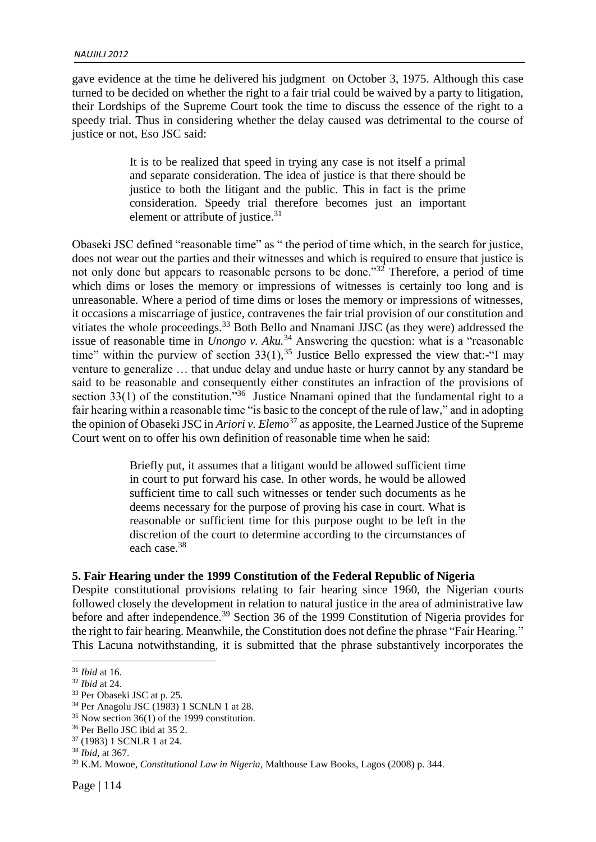gave evidence at the time he delivered his judgment on October 3, 1975. Although this case turned to be decided on whether the right to a fair trial could be waived by a party to litigation, their Lordships of the Supreme Court took the time to discuss the essence of the right to a speedy trial. Thus in considering whether the delay caused was detrimental to the course of justice or not, Eso JSC said:

> It is to be realized that speed in trying any case is not itself a primal and separate consideration. The idea of justice is that there should be justice to both the litigant and the public. This in fact is the prime consideration. Speedy trial therefore becomes just an important element or attribute of justice.<sup>31</sup>

Obaseki JSC defined "reasonable time" as " the period of time which, in the search for justice, does not wear out the parties and their witnesses and which is required to ensure that justice is not only done but appears to reasonable persons to be done." $32^{\circ}$  Therefore, a period of time which dims or loses the memory or impressions of witnesses is certainly too long and is unreasonable. Where a period of time dims or loses the memory or impressions of witnesses, it occasions a miscarriage of justice, contravenes the fair trial provision of our constitution and vitiates the whole proceedings.<sup>33</sup> Both Bello and Nnamani JJSC (as they were) addressed the issue of reasonable time in *Unongo v. Aku.*<sup>34</sup> Answering the question: what is a "reasonable time" within the purview of section  $33(1)$ ,  $35$  Justice Bello expressed the view that:-"I may venture to generalize … that undue delay and undue haste or hurry cannot by any standard be said to be reasonable and consequently either constitutes an infraction of the provisions of section 33(1) of the constitution.<sup>35</sup> Justice Nnamani opined that the fundamental right to a fair hearing within a reasonable time "is basic to the concept of the rule of law," and in adopting the opinion of Obaseki JSC in *Ariori v. Elemo*<sup>37</sup> as apposite, the Learned Justice of the Supreme Court went on to offer his own definition of reasonable time when he said:

> Briefly put, it assumes that a litigant would be allowed sufficient time in court to put forward his case. In other words, he would be allowed sufficient time to call such witnesses or tender such documents as he deems necessary for the purpose of proving his case in court. What is reasonable or sufficient time for this purpose ought to be left in the discretion of the court to determine according to the circumstances of each case.<sup>38</sup>

### **5. Fair Hearing under the 1999 Constitution of the Federal Republic of Nigeria**

Despite constitutional provisions relating to fair hearing since 1960, the Nigerian courts followed closely the development in relation to natural justice in the area of administrative law before and after independence.<sup>39</sup> Section 36 of the 1999 Constitution of Nigeria provides for the right to fair hearing. Meanwhile, the Constitution does not define the phrase "Fair Hearing." This Lacuna notwithstanding, it is submitted that the phrase substantively incorporates the

<sup>31</sup> *Ibid* at 16.

<sup>32</sup> *Ibid* at 24.

<sup>33</sup> Per Obaseki JSC at p. 25.

<sup>34</sup> Per Anagolu JSC (1983) 1 SCNLN 1 at 28.

<sup>35</sup> Now section 36(1) of the 1999 constitution.

<sup>36</sup> Per Bello JSC ibid at 35 2.

<sup>37</sup> (1983) 1 SCNLR 1 at 24.

<sup>38</sup> *Ibid,* at 367.

<sup>39</sup> K.M. Mowoe, *Constitutional Law in Nigeria*, Malthouse Law Books, Lagos (2008) p. 344.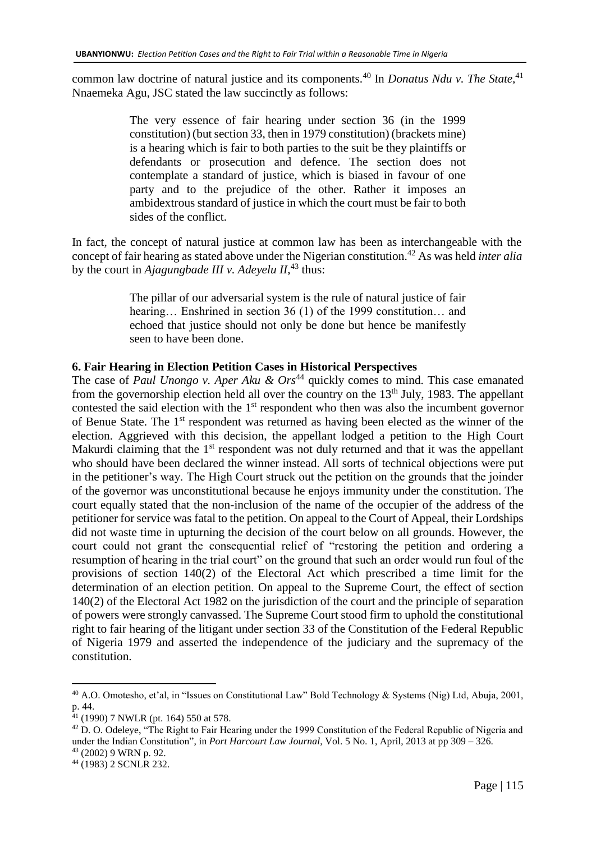common law doctrine of natural justice and its components.<sup>40</sup> In *Donatus Ndu v. The State,*<sup>41</sup> Nnaemeka Agu, JSC stated the law succinctly as follows:

> The very essence of fair hearing under section 36 (in the 1999 constitution) (but section 33, then in 1979 constitution) (brackets mine) is a hearing which is fair to both parties to the suit be they plaintiffs or defendants or prosecution and defence. The section does not contemplate a standard of justice, which is biased in favour of one party and to the prejudice of the other. Rather it imposes an ambidextrous standard of justice in which the court must be fair to both sides of the conflict.

In fact, the concept of natural justice at common law has been as interchangeable with the concept of fair hearing as stated above under the Nigerian constitution.<sup>42</sup> As was held *inter alia* by the court in *Ajagungbade III v. Adeyelu II*, <sup>43</sup> thus:

> The pillar of our adversarial system is the rule of natural justice of fair hearing… Enshrined in section 36 (1) of the 1999 constitution… and echoed that justice should not only be done but hence be manifestly seen to have been done.

### **6. Fair Hearing in Election Petition Cases in Historical Perspectives**

The case of *Paul Unongo v. Aper Aku & Ors*<sup>44</sup> quickly comes to mind. This case emanated from the governorship election held all over the country on the  $13<sup>th</sup>$  July, 1983. The appellant contested the said election with the  $1<sup>st</sup>$  respondent who then was also the incumbent governor of Benue State. The 1st respondent was returned as having been elected as the winner of the election. Aggrieved with this decision, the appellant lodged a petition to the High Court Makurdi claiming that the  $1<sup>st</sup>$  respondent was not duly returned and that it was the appellant who should have been declared the winner instead. All sorts of technical objections were put in the petitioner's way. The High Court struck out the petition on the grounds that the joinder of the governor was unconstitutional because he enjoys immunity under the constitution. The court equally stated that the non-inclusion of the name of the occupier of the address of the petitioner for service was fatal to the petition. On appeal to the Court of Appeal, their Lordships did not waste time in upturning the decision of the court below on all grounds. However, the court could not grant the consequential relief of "restoring the petition and ordering a resumption of hearing in the trial court" on the ground that such an order would run foul of the provisions of section 140(2) of the Electoral Act which prescribed a time limit for the determination of an election petition. On appeal to the Supreme Court, the effect of section 140(2) of the Electoral Act 1982 on the jurisdiction of the court and the principle of separation of powers were strongly canvassed. The Supreme Court stood firm to uphold the constitutional right to fair hearing of the litigant under section 33 of the Constitution of the Federal Republic of Nigeria 1979 and asserted the independence of the judiciary and the supremacy of the constitution.

<sup>40</sup> A.O. Omotesho, et'al, in "Issues on Constitutional Law" Bold Technology & Systems (Nig) Ltd, Abuja, 2001, p. 44.

 $^{41}$  (1990) 7 NWLR (pt. 164) 550 at 578.

<sup>&</sup>lt;sup>42</sup> D. O. Odeleye, "The Right to Fair Hearing under the 1999 Constitution of the Federal Republic of Nigeria and under the Indian Constitution", in *Port Harcourt Law Journal*, Vol. 5 No. 1, April, 2013 at pp 309 – 326.

<sup>43</sup> (2002) 9 WRN p. 92.

<sup>44</sup> (1983) 2 SCNLR 232.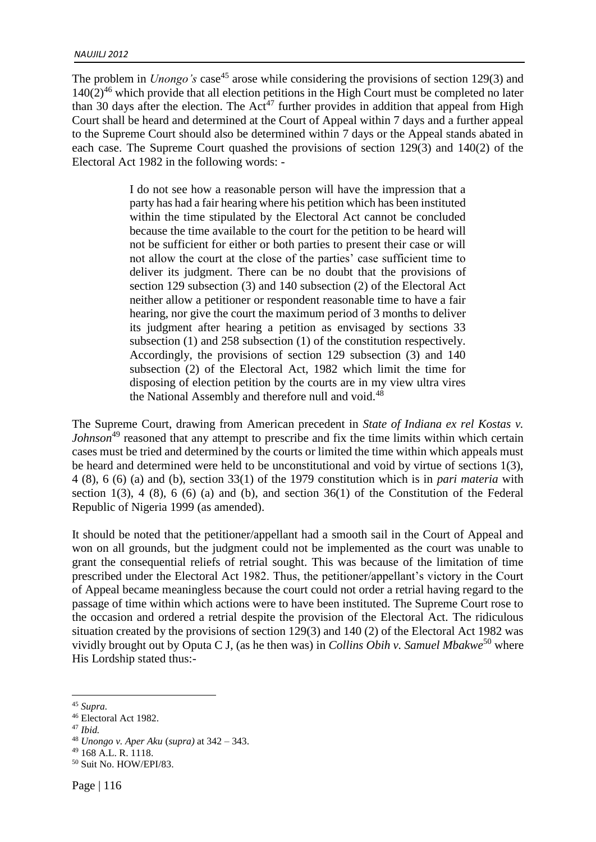The problem in *Unongo's* case<sup>45</sup> arose while considering the provisions of section 129(3) and  $140(2)^{46}$  which provide that all election petitions in the High Court must be completed no later than 30 days after the election. The  $Act^{47}$  further provides in addition that appeal from High Court shall be heard and determined at the Court of Appeal within 7 days and a further appeal to the Supreme Court should also be determined within 7 days or the Appeal stands abated in each case. The Supreme Court quashed the provisions of section 129(3) and 140(2) of the Electoral Act 1982 in the following words: -

> I do not see how a reasonable person will have the impression that a party has had a fair hearing where his petition which has been instituted within the time stipulated by the Electoral Act cannot be concluded because the time available to the court for the petition to be heard will not be sufficient for either or both parties to present their case or will not allow the court at the close of the parties' case sufficient time to deliver its judgment. There can be no doubt that the provisions of section 129 subsection (3) and 140 subsection (2) of the Electoral Act neither allow a petitioner or respondent reasonable time to have a fair hearing, nor give the court the maximum period of 3 months to deliver its judgment after hearing a petition as envisaged by sections 33 subsection (1) and 258 subsection (1) of the constitution respectively. Accordingly, the provisions of section 129 subsection (3) and 140 subsection (2) of the Electoral Act, 1982 which limit the time for disposing of election petition by the courts are in my view ultra vires the National Assembly and therefore null and void.<sup>48</sup>

The Supreme Court, drawing from American precedent in *State of Indiana ex rel Kostas v. Johnson*<sup>49</sup> reasoned that any attempt to prescribe and fix the time limits within which certain cases must be tried and determined by the courts or limited the time within which appeals must be heard and determined were held to be unconstitutional and void by virtue of sections 1(3), 4 (8), 6 (6) (a) and (b), section 33(1) of the 1979 constitution which is in *pari materia* with section  $1(3)$ ,  $4(8)$ ,  $6(6)(a)$  and  $(b)$ , and section  $36(1)$  of the Constitution of the Federal Republic of Nigeria 1999 (as amended).

It should be noted that the petitioner/appellant had a smooth sail in the Court of Appeal and won on all grounds, but the judgment could not be implemented as the court was unable to grant the consequential reliefs of retrial sought. This was because of the limitation of time prescribed under the Electoral Act 1982. Thus, the petitioner/appellant's victory in the Court of Appeal became meaningless because the court could not order a retrial having regard to the passage of time within which actions were to have been instituted. The Supreme Court rose to the occasion and ordered a retrial despite the provision of the Electoral Act. The ridiculous situation created by the provisions of section 129(3) and 140 (2) of the Electoral Act 1982 was vividly brought out by Oputa C J, (as he then was) in *Collins Obih v. Samuel Mbakwe*<sup>50</sup> where His Lordship stated thus:-

<sup>1</sup> <sup>45</sup> *Supra.*

<sup>46</sup> Electoral Act 1982.

<sup>47</sup> *Ibid.*

<sup>48</sup> *Unongo v. Aper Aku* (*supra)* at 342 – 343.

<sup>49</sup> 168 A.L. R. 1118.

<sup>50</sup> Suit No. HOW/EPI/83.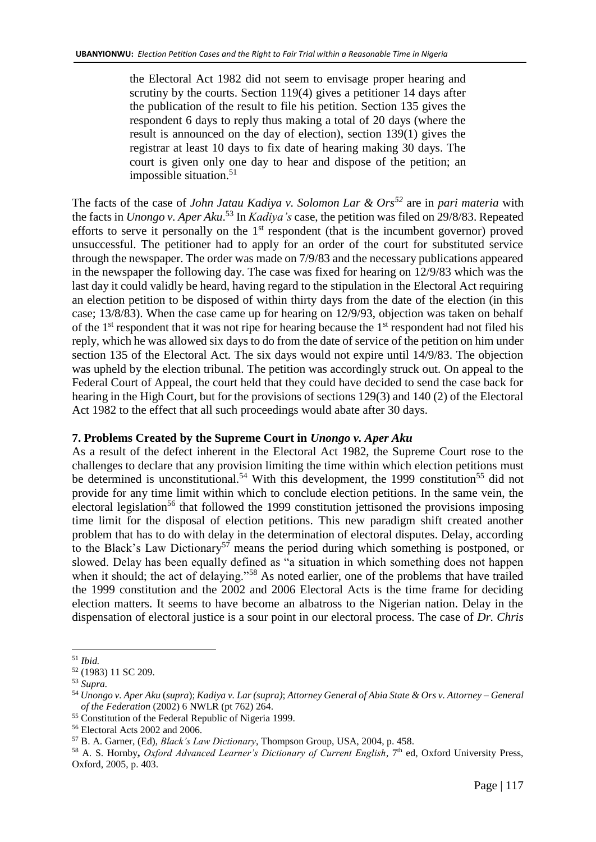the Electoral Act 1982 did not seem to envisage proper hearing and scrutiny by the courts. Section 119(4) gives a petitioner 14 days after the publication of the result to file his petition. Section 135 gives the respondent 6 days to reply thus making a total of 20 days (where the result is announced on the day of election), section 139(1) gives the registrar at least 10 days to fix date of hearing making 30 days. The court is given only one day to hear and dispose of the petition; an impossible situation. $51$ 

The facts of the case of *John Jatau Kadiya v. Solomon Lar & Ors<sup>52</sup>* are in *pari materia* with the facts in *Unongo v. Aper Aku*. <sup>53</sup> In *Kadiya's* case, the petition was filed on 29/8/83. Repeated efforts to serve it personally on the  $1<sup>st</sup>$  respondent (that is the incumbent governor) proved unsuccessful. The petitioner had to apply for an order of the court for substituted service through the newspaper. The order was made on 7/9/83 and the necessary publications appeared in the newspaper the following day. The case was fixed for hearing on 12/9/83 which was the last day it could validly be heard, having regard to the stipulation in the Electoral Act requiring an election petition to be disposed of within thirty days from the date of the election (in this case; 13/8/83). When the case came up for hearing on 12/9/93, objection was taken on behalf of the  $1<sup>st</sup>$  respondent that it was not ripe for hearing because the  $1<sup>st</sup>$  respondent had not filed his reply, which he was allowed six days to do from the date of service of the petition on him under section 135 of the Electoral Act. The six days would not expire until 14/9/83. The objection was upheld by the election tribunal. The petition was accordingly struck out. On appeal to the Federal Court of Appeal, the court held that they could have decided to send the case back for hearing in the High Court, but for the provisions of sections 129(3) and 140 (2) of the Electoral Act 1982 to the effect that all such proceedings would abate after 30 days.

# **7. Problems Created by the Supreme Court in** *Unongo v. Aper Aku*

As a result of the defect inherent in the Electoral Act 1982, the Supreme Court rose to the challenges to declare that any provision limiting the time within which election petitions must be determined is unconstitutional.<sup>54</sup> With this development, the 1999 constitution<sup>55</sup> did not provide for any time limit within which to conclude election petitions. In the same vein, the electoral legislation<sup>56</sup> that followed the 1999 constitution jettisoned the provisions imposing time limit for the disposal of election petitions. This new paradigm shift created another problem that has to do with delay in the determination of electoral disputes. Delay, according to the Black's Law Dictionary<sup>57</sup> means the period during which something is postponed, or slowed. Delay has been equally defined as "a situation in which something does not happen when it should; the act of delaying."<sup>58</sup> As noted earlier, one of the problems that have trailed the 1999 constitution and the 2002 and 2006 Electoral Acts is the time frame for deciding election matters. It seems to have become an albatross to the Nigerian nation. Delay in the dispensation of electoral justice is a sour point in our electoral process. The case of *Dr. Chris* 

<sup>&</sup>lt;u>.</u> <sup>51</sup> *Ibid.*

<sup>52</sup> (1983) 11 SC 209.

<sup>53</sup> *Supra.*

<sup>54</sup> *Unongo v. Aper Aku* (*supra*); *Kadiya v. Lar (supra)*; *Attorney General of Abia State & Ors v. Attorney – General of the Federation* (2002) 6 NWLR (pt 762) 264.

<sup>&</sup>lt;sup>55</sup> Constitution of the Federal Republic of Nigeria 1999.

<sup>56</sup> Electoral Acts 2002 and 2006.

<sup>57</sup> B. A. Garner, (Ed), *Black's Law Dictionary*, Thompson Group, USA, 2004, p. 458.

<sup>&</sup>lt;sup>58</sup> A. S. Hornby, *Oxford Advanced Learner's Dictionary of Current English*, 7<sup>th</sup> ed, Oxford University Press, Oxford, 2005, p. 403.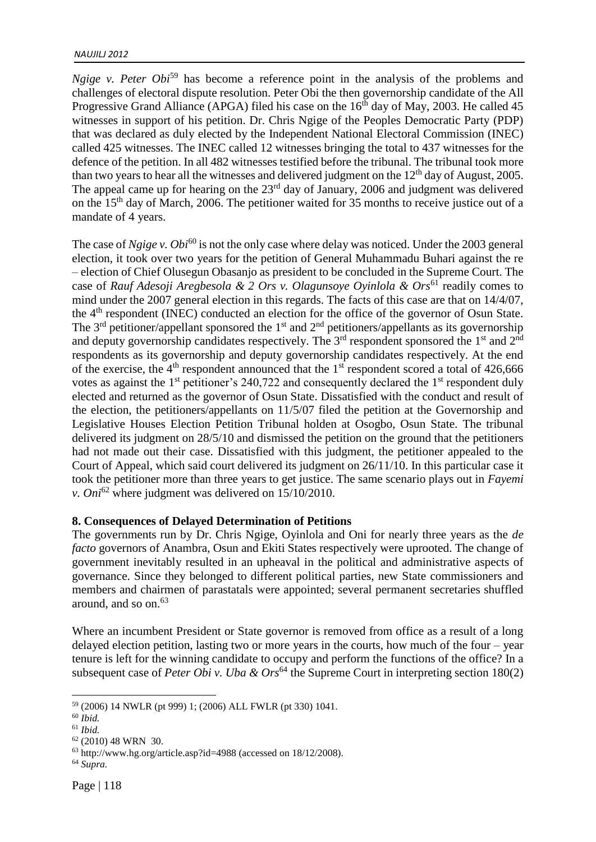*Ngige v. Peter Obi*<sup>59</sup> has become a reference point in the analysis of the problems and challenges of electoral dispute resolution. Peter Obi the then governorship candidate of the All Progressive Grand Alliance (APGA) filed his case on the  $16<sup>th</sup>$  day of May, 2003. He called 45 witnesses in support of his petition. Dr. Chris Ngige of the Peoples Democratic Party (PDP) that was declared as duly elected by the Independent National Electoral Commission (INEC) called 425 witnesses. The INEC called 12 witnesses bringing the total to 437 witnesses for the defence of the petition. In all 482 witnesses testified before the tribunal. The tribunal took more than two years to hear all the witnesses and delivered judgment on the  $12<sup>th</sup>$  day of August, 2005. The appeal came up for hearing on the 23<sup>rd</sup> day of January, 2006 and judgment was delivered on the 15th day of March, 2006. The petitioner waited for 35 months to receive justice out of a mandate of 4 years.

The case of *Ngige v. Obi*<sup>60</sup> is not the only case where delay was noticed. Under the 2003 general election, it took over two years for the petition of General Muhammadu Buhari against the re – election of Chief Olusegun Obasanjo as president to be concluded in the Supreme Court. The case of *Rauf Adesoji Aregbesola & 2 Ors v. Olagunsoye Oyinlola & Ors*<sup>61</sup> readily comes to mind under the 2007 general election in this regards. The facts of this case are that on 14/4/07, the 4th respondent (INEC) conducted an election for the office of the governor of Osun State. The  $3<sup>rd</sup>$  petitioner/appellant sponsored the 1<sup>st</sup> and  $2<sup>nd</sup>$  petitioners/appellants as its governorship and deputy governorship candidates respectively. The  $3<sup>rd</sup>$  respondent sponsored the  $1<sup>st</sup>$  and  $2<sup>nd</sup>$ respondents as its governorship and deputy governorship candidates respectively. At the end of the exercise, the  $4<sup>th</sup>$  respondent announced that the  $1<sup>st</sup>$  respondent scored a total of 426,666 votes as against the 1<sup>st</sup> petitioner's 240,722 and consequently declared the 1<sup>st</sup> respondent duly elected and returned as the governor of Osun State. Dissatisfied with the conduct and result of the election, the petitioners/appellants on 11/5/07 filed the petition at the Governorship and Legislative Houses Election Petition Tribunal holden at Osogbo, Osun State. The tribunal delivered its judgment on 28/5/10 and dismissed the petition on the ground that the petitioners had not made out their case. Dissatisfied with this judgment, the petitioner appealed to the Court of Appeal, which said court delivered its judgment on 26/11/10. In this particular case it took the petitioner more than three years to get justice. The same scenario plays out in *Fayemi v. Oni*<sup>62</sup> where judgment was delivered on 15/10/2010.

#### **8. Consequences of Delayed Determination of Petitions**

The governments run by Dr. Chris Ngige, Oyinlola and Oni for nearly three years as the *de facto* governors of Anambra, Osun and Ekiti States respectively were uprooted. The change of government inevitably resulted in an upheaval in the political and administrative aspects of governance. Since they belonged to different political parties, new State commissioners and members and chairmen of parastatals were appointed; several permanent secretaries shuffled around, and so  $\text{on.}^{63}$ 

Where an incumbent President or State governor is removed from office as a result of a long delayed election petition, lasting two or more years in the courts, how much of the four – year tenure is left for the winning candidate to occupy and perform the functions of the office? In a subsequent case of *Peter Obi v. Uba & Ors*<sup>64</sup> the Supreme Court in interpreting section 180(2)

<sup>59</sup> (2006) 14 NWLR (pt 999) 1; (2006) ALL FWLR (pt 330) 1041.

<sup>60</sup> *Ibid.*

<sup>61</sup> *Ibid.*

<sup>62</sup> (2010) 48 WRN 30.

<sup>63</sup> http://www.hg.org/article.asp?id=4988 (accessed on 18/12/2008).

<sup>64</sup> *Supra.*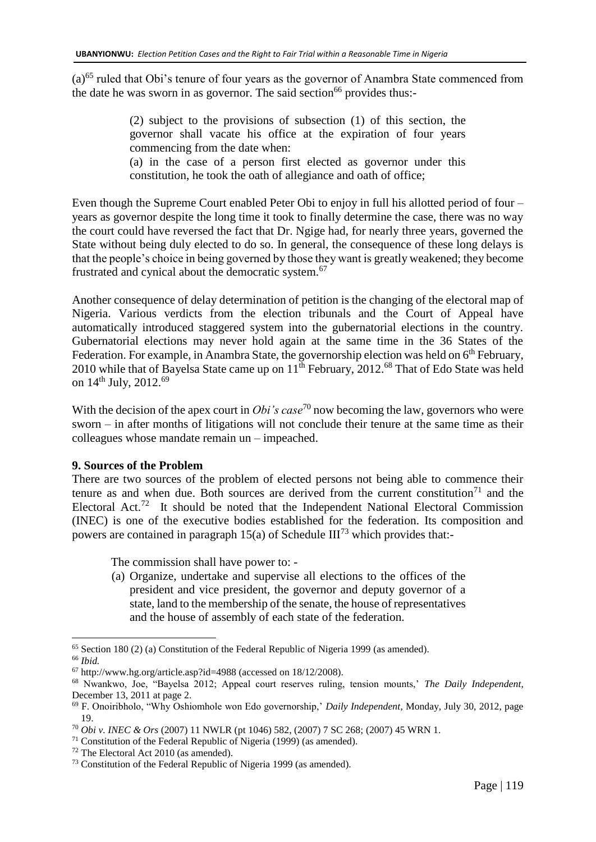(a)<sup>65</sup> ruled that Obi's tenure of four years as the governor of Anambra State commenced from the date he was sworn in as governor. The said section<sup>66</sup> provides thus:-

> (2) subject to the provisions of subsection (1) of this section, the governor shall vacate his office at the expiration of four years commencing from the date when: (a) in the case of a person first elected as governor under this

constitution, he took the oath of allegiance and oath of office;

Even though the Supreme Court enabled Peter Obi to enjoy in full his allotted period of four – years as governor despite the long time it took to finally determine the case, there was no way the court could have reversed the fact that Dr. Ngige had, for nearly three years, governed the State without being duly elected to do so. In general, the consequence of these long delays is that the people's choice in being governed by those they want is greatly weakened; they become frustrated and cynical about the democratic system.<sup>67</sup>

Another consequence of delay determination of petition is the changing of the electoral map of Nigeria. Various verdicts from the election tribunals and the Court of Appeal have automatically introduced staggered system into the gubernatorial elections in the country. Gubernatorial elections may never hold again at the same time in the 36 States of the Federation. For example, in Anambra State, the governorship election was held on 6<sup>th</sup> February, 2010 while that of Bayelsa State came up on  $11^{th}$  February, 2012.<sup>68</sup> That of Edo State was held on 14<sup>th</sup> July, 2012.<sup>69</sup>

With the decision of the apex court in *Obi's case*<sup>70</sup> now becoming the law, governors who were sworn – in after months of litigations will not conclude their tenure at the same time as their colleagues whose mandate remain un – impeached.

# **9. Sources of the Problem**

There are two sources of the problem of elected persons not being able to commence their tenure as and when due. Both sources are derived from the current constitution<sup>71</sup> and the Electoral Act.<sup>72</sup> It should be noted that the Independent National Electoral Commission (INEC) is one of the executive bodies established for the federation. Its composition and powers are contained in paragraph 15(a) of Schedule  $III^{73}$  which provides that:-

The commission shall have power to: -

(a) Organize, undertake and supervise all elections to the offices of the president and vice president, the governor and deputy governor of a state, land to the membership of the senate, the house of representatives and the house of assembly of each state of the federation.

<sup>65</sup> Section 180 (2) (a) Constitution of the Federal Republic of Nigeria 1999 (as amended).

<sup>66</sup> *Ibid.*

 $67$  http://www.hg.org/article.asp?id=4988 (accessed on 18/12/2008).

<sup>68</sup> Nwankwo, Joe, "Bayelsa 2012; Appeal court reserves ruling, tension mounts,' *The Daily Independent*, December 13, 2011 at page 2.

<sup>69</sup> F. Onoiribholo, "Why Oshiomhole won Edo governorship,' *Daily Independent*, Monday, July 30, 2012, page 19.

<sup>70</sup> *Obi v. INEC & Ors* (2007) 11 NWLR (pt 1046) 582, (2007) 7 SC 268; (2007) 45 WRN 1.

 $71$  Constitution of the Federal Republic of Nigeria (1999) (as amended).

<sup>72</sup> The Electoral Act 2010 (as amended).

<sup>73</sup> Constitution of the Federal Republic of Nigeria 1999 (as amended).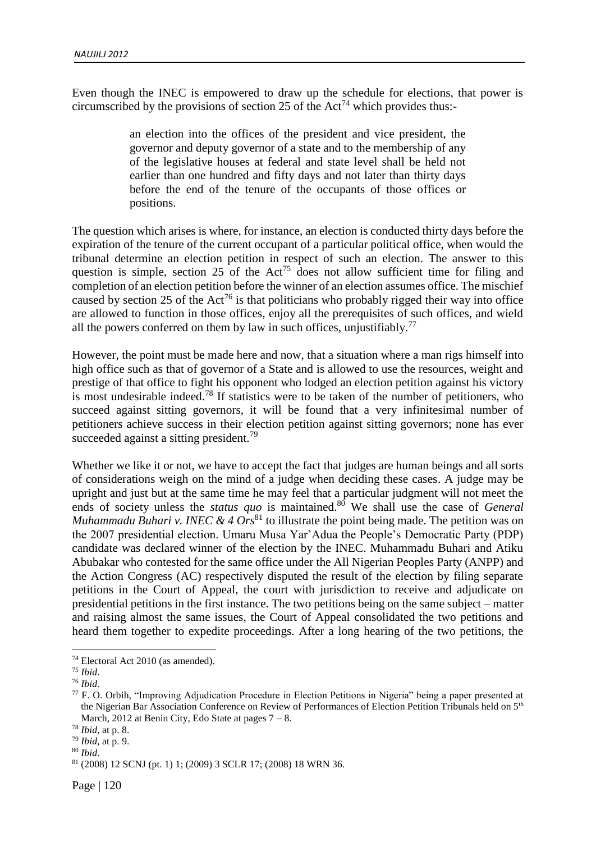Even though the INEC is empowered to draw up the schedule for elections, that power is circumscribed by the provisions of section 25 of the Act<sup>74</sup> which provides thus:-

> an election into the offices of the president and vice president, the governor and deputy governor of a state and to the membership of any of the legislative houses at federal and state level shall be held not earlier than one hundred and fifty days and not later than thirty days before the end of the tenure of the occupants of those offices or positions.

The question which arises is where, for instance, an election is conducted thirty days before the expiration of the tenure of the current occupant of a particular political office, when would the tribunal determine an election petition in respect of such an election. The answer to this question is simple, section 25 of the  $Act^{75}$  does not allow sufficient time for filing and completion of an election petition before the winner of an election assumes office. The mischief caused by section 25 of the Act<sup>76</sup> is that politicians who probably rigged their way into office are allowed to function in those offices, enjoy all the prerequisites of such offices, and wield all the powers conferred on them by law in such offices, unjustifiably.<sup>77</sup>

However, the point must be made here and now, that a situation where a man rigs himself into high office such as that of governor of a State and is allowed to use the resources, weight and prestige of that office to fight his opponent who lodged an election petition against his victory is most undesirable indeed.<sup>78</sup> If statistics were to be taken of the number of petitioners, who succeed against sitting governors, it will be found that a very infinitesimal number of petitioners achieve success in their election petition against sitting governors; none has ever succeeded against a sitting president.<sup>79</sup>

Whether we like it or not, we have to accept the fact that judges are human beings and all sorts of considerations weigh on the mind of a judge when deciding these cases. A judge may be upright and just but at the same time he may feel that a particular judgment will not meet the ends of society unless the *status quo* is maintained.<sup>80</sup> We shall use the case of *General Muhammadu Buhari v. INEC & 4*  $Ors^{81}$  *to illustrate the point being made. The petition was on* the 2007 presidential election. Umaru Musa Yar'Adua the People's Democratic Party (PDP) candidate was declared winner of the election by the INEC. Muhammadu Buhari and Atiku Abubakar who contested for the same office under the All Nigerian Peoples Party (ANPP) and the Action Congress (AC) respectively disputed the result of the election by filing separate petitions in the Court of Appeal, the court with jurisdiction to receive and adjudicate on presidential petitions in the first instance. The two petitions being on the same subject – matter and raising almost the same issues, the Court of Appeal consolidated the two petitions and heard them together to expedite proceedings. After a long hearing of the two petitions, the

<sup>74</sup> Electoral Act 2010 (as amended).

<sup>75</sup> *Ibid*.

<sup>76</sup> *Ibid*.

<sup>77</sup> F. O. Orbih, "Improving Adjudication Procedure in Election Petitions in Nigeria" being a paper presented at the Nigerian Bar Association Conference on Review of Performances of Election Petition Tribunals held on 5<sup>th</sup> March, 2012 at Benin City, Edo State at pages  $7 - 8$ .

<sup>78</sup> *Ibid*, at p. 8.

<sup>79</sup> *Ibid,* at p. 9.

<sup>80</sup> *Ibid*.

<sup>81</sup> (2008) 12 SCNJ (pt. 1) 1; (2009) 3 SCLR 17; (2008) 18 WRN 36.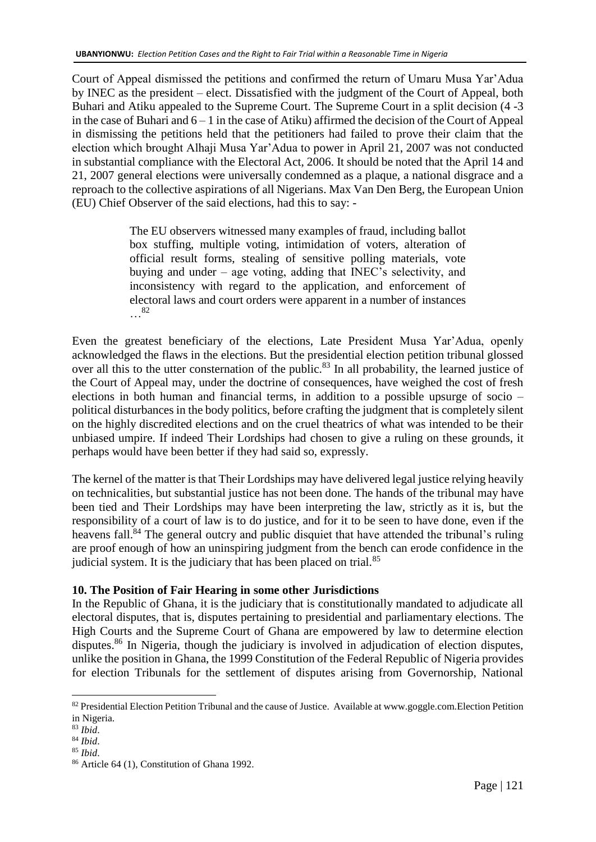Court of Appeal dismissed the petitions and confirmed the return of Umaru Musa Yar'Adua by INEC as the president – elect. Dissatisfied with the judgment of the Court of Appeal, both Buhari and Atiku appealed to the Supreme Court. The Supreme Court in a split decision (4 -3 in the case of Buhari and  $6 - 1$  in the case of Atiku) affirmed the decision of the Court of Appeal in dismissing the petitions held that the petitioners had failed to prove their claim that the election which brought Alhaji Musa Yar'Adua to power in April 21, 2007 was not conducted in substantial compliance with the Electoral Act, 2006. It should be noted that the April 14 and 21, 2007 general elections were universally condemned as a plaque, a national disgrace and a reproach to the collective aspirations of all Nigerians. Max Van Den Berg, the European Union (EU) Chief Observer of the said elections, had this to say: -

> The EU observers witnessed many examples of fraud, including ballot box stuffing, multiple voting, intimidation of voters, alteration of official result forms, stealing of sensitive polling materials, vote buying and under – age voting, adding that INEC's selectivity, and inconsistency with regard to the application, and enforcement of electoral laws and court orders were apparent in a number of instances …<sup>82</sup>

Even the greatest beneficiary of the elections, Late President Musa Yar'Adua, openly acknowledged the flaws in the elections. But the presidential election petition tribunal glossed over all this to the utter consternation of the public.<sup>83</sup> In all probability, the learned justice of the Court of Appeal may, under the doctrine of consequences, have weighed the cost of fresh elections in both human and financial terms, in addition to a possible upsurge of socio – political disturbances in the body politics, before crafting the judgment that is completely silent on the highly discredited elections and on the cruel theatrics of what was intended to be their unbiased umpire. If indeed Their Lordships had chosen to give a ruling on these grounds, it perhaps would have been better if they had said so, expressly.

The kernel of the matter is that Their Lordships may have delivered legal justice relying heavily on technicalities, but substantial justice has not been done. The hands of the tribunal may have been tied and Their Lordships may have been interpreting the law, strictly as it is, but the responsibility of a court of law is to do justice, and for it to be seen to have done, even if the heavens fall.<sup>84</sup> The general outcry and public disquiet that have attended the tribunal's ruling are proof enough of how an uninspiring judgment from the bench can erode confidence in the judicial system. It is the judiciary that has been placed on trial.<sup>85</sup>

# **10. The Position of Fair Hearing in some other Jurisdictions**

In the Republic of Ghana, it is the judiciary that is constitutionally mandated to adjudicate all electoral disputes, that is, disputes pertaining to presidential and parliamentary elections. The High Courts and the Supreme Court of Ghana are empowered by law to determine election disputes.<sup>86</sup> In Nigeria, though the judiciary is involved in adjudication of election disputes, unlike the position in Ghana, the 1999 Constitution of the Federal Republic of Nigeria provides for election Tribunals for the settlement of disputes arising from Governorship, National

<sup>82</sup> Presidential Election Petition Tribunal and the cause of Justice. Available at www.goggle.com.Election Petition in Nigeria.

<sup>83</sup> *Ibid*.

<sup>84</sup> *Ibid*.

<sup>85</sup> *Ibid*.

<sup>86</sup> Article 64 (1), Constitution of Ghana 1992.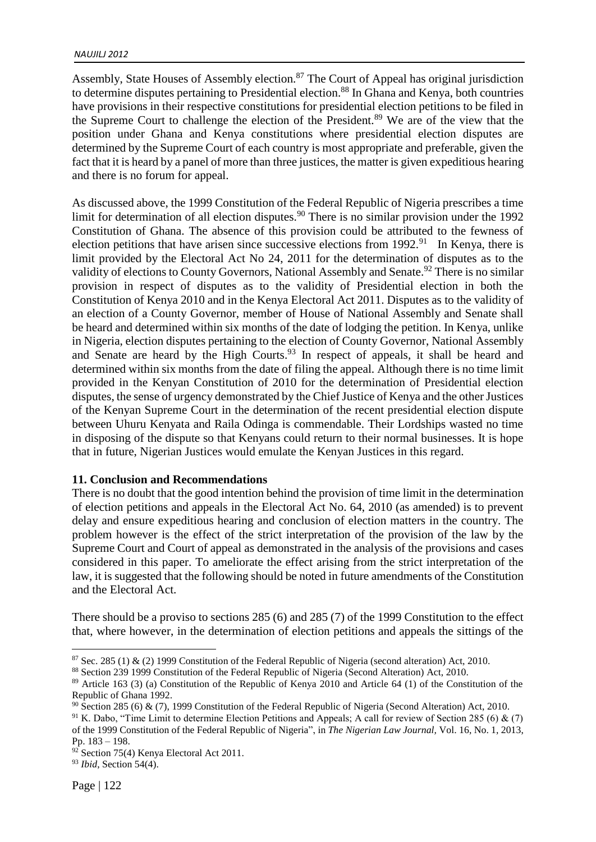Assembly, State Houses of Assembly election.<sup>87</sup> The Court of Appeal has original jurisdiction to determine disputes pertaining to Presidential election.<sup>88</sup> In Ghana and Kenya, both countries have provisions in their respective constitutions for presidential election petitions to be filed in the Supreme Court to challenge the election of the President.<sup>89</sup> We are of the view that the position under Ghana and Kenya constitutions where presidential election disputes are determined by the Supreme Court of each country is most appropriate and preferable, given the fact that it is heard by a panel of more than three justices, the matter is given expeditious hearing and there is no forum for appeal.

As discussed above, the 1999 Constitution of the Federal Republic of Nigeria prescribes a time limit for determination of all election disputes.<sup>90</sup> There is no similar provision under the 1992 Constitution of Ghana. The absence of this provision could be attributed to the fewness of election petitions that have arisen since successive elections from  $1992.^{91}$  In Kenya, there is limit provided by the Electoral Act No 24, 2011 for the determination of disputes as to the validity of elections to County Governors, National Assembly and Senate.<sup>92</sup> There is no similar provision in respect of disputes as to the validity of Presidential election in both the Constitution of Kenya 2010 and in the Kenya Electoral Act 2011. Disputes as to the validity of an election of a County Governor, member of House of National Assembly and Senate shall be heard and determined within six months of the date of lodging the petition. In Kenya, unlike in Nigeria, election disputes pertaining to the election of County Governor, National Assembly and Senate are heard by the High Courts.<sup>93</sup> In respect of appeals, it shall be heard and determined within six months from the date of filing the appeal. Although there is no time limit provided in the Kenyan Constitution of 2010 for the determination of Presidential election disputes, the sense of urgency demonstrated by the Chief Justice of Kenya and the other Justices of the Kenyan Supreme Court in the determination of the recent presidential election dispute between Uhuru Kenyata and Raila Odinga is commendable. Their Lordships wasted no time in disposing of the dispute so that Kenyans could return to their normal businesses. It is hope that in future, Nigerian Justices would emulate the Kenyan Justices in this regard.

#### **11. Conclusion and Recommendations**

There is no doubt that the good intention behind the provision of time limit in the determination of election petitions and appeals in the Electoral Act No. 64, 2010 (as amended) is to prevent delay and ensure expeditious hearing and conclusion of election matters in the country. The problem however is the effect of the strict interpretation of the provision of the law by the Supreme Court and Court of appeal as demonstrated in the analysis of the provisions and cases considered in this paper. To ameliorate the effect arising from the strict interpretation of the law, it is suggested that the following should be noted in future amendments of the Constitution and the Electoral Act.

There should be a proviso to sections 285 (6) and 285 (7) of the 1999 Constitution to the effect that, where however, in the determination of election petitions and appeals the sittings of the

<sup>90</sup> Section 285 (6) & (7), 1999 Constitution of the Federal Republic of Nigeria (Second Alteration) Act, 2010.

<sup>91</sup> K. Dabo, "Time Limit to determine Election Petitions and Appeals; A call for review of Section 285 (6) & (7) of the 1999 Constitution of the Federal Republic of Nigeria", in *The Nigerian Law Journal,* Vol. 16, No. 1, 2013, Pp. 183 – 198.

 $87$  Sec. 285 (1) & (2) 1999 Constitution of the Federal Republic of Nigeria (second alteration) Act, 2010.

<sup>88</sup> Section 239 1999 Constitution of the Federal Republic of Nigeria (Second Alteration) Act, 2010.

<sup>&</sup>lt;sup>89</sup> Article 163 (3) (a) Constitution of the Republic of Kenya 2010 and Article 64 (1) of the Constitution of the Republic of Ghana 1992.

<sup>92</sup> Section 75(4) Kenya Electoral Act 2011.

<sup>93</sup> *Ibid*, Section 54(4).